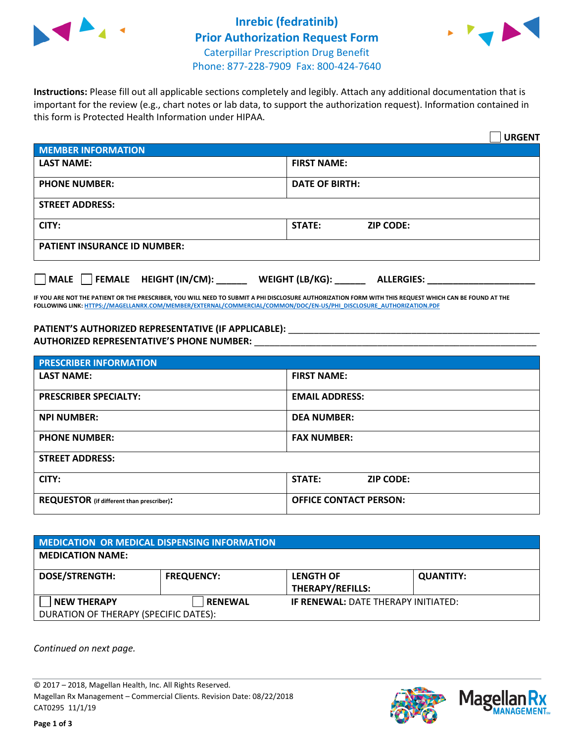



**Instructions:** Please fill out all applicable sections completely and legibly. Attach any additional documentation that is important for the review (e.g., chart notes or lab data, to support the authorization request). Information contained in this form is Protected Health Information under HIPAA.

|                                       | <b>URGENT</b>                          |  |  |  |
|---------------------------------------|----------------------------------------|--|--|--|
| <b>MEMBER INFORMATION</b>             |                                        |  |  |  |
| <b>LAST NAME:</b>                     | <b>FIRST NAME:</b>                     |  |  |  |
| <b>PHONE NUMBER:</b>                  | <b>DATE OF BIRTH:</b>                  |  |  |  |
| <b>STREET ADDRESS:</b>                |                                        |  |  |  |
| CITY:                                 | <b>ZIP CODE:</b><br>STATE:             |  |  |  |
| <b>PATIENT INSURANCE ID NUMBER:</b>   |                                        |  |  |  |
| FEMALE HEIGHT (IN/CM):<br><b>MALE</b> | WEIGHT (LB/KG): _<br><b>ALLERGIES:</b> |  |  |  |

**IF YOU ARE NOT THE PATIENT OR THE PRESCRIBER, YOU WILL NEED TO SUBMIT A PHI DISCLOSURE AUTHORIZATION FORM WITH THIS REQUEST WHICH CAN BE FOUND AT THE FOLLOWING LINK[: HTTPS://MAGELLANRX.COM/MEMBER/EXTERNAL/COMMERCIAL/COMMON/DOC/EN-US/PHI\\_DISCLOSURE\\_AUTHORIZATION.PDF](https://magellanrx.com/member/external/commercial/common/doc/en-us/PHI_Disclosure_Authorization.pdf)**

PATIENT'S AUTHORIZED REPRESENTATIVE (IF APPLICABLE): \_\_\_\_\_\_\_\_\_\_\_\_\_\_\_\_\_\_\_\_\_\_\_\_\_\_\_ **AUTHORIZED REPRESENTATIVE'S PHONE NUMBER:** \_\_\_\_\_\_\_\_\_\_\_\_\_\_\_\_\_\_\_\_\_\_\_\_\_\_\_\_\_\_\_\_\_\_\_\_\_\_\_\_\_\_\_\_\_\_\_\_\_\_\_\_\_\_\_

| <b>PRESCRIBER INFORMATION</b>             |                               |  |  |  |
|-------------------------------------------|-------------------------------|--|--|--|
| <b>LAST NAME:</b>                         | <b>FIRST NAME:</b>            |  |  |  |
| <b>PRESCRIBER SPECIALTY:</b>              | <b>EMAIL ADDRESS:</b>         |  |  |  |
| <b>NPI NUMBER:</b>                        | <b>DEA NUMBER:</b>            |  |  |  |
| <b>PHONE NUMBER:</b>                      | <b>FAX NUMBER:</b>            |  |  |  |
| <b>STREET ADDRESS:</b>                    |                               |  |  |  |
| CITY:                                     | STATE:<br><b>ZIP CODE:</b>    |  |  |  |
| REQUESTOR (if different than prescriber): | <b>OFFICE CONTACT PERSON:</b> |  |  |  |

| <b>MEDICATION OR MEDICAL DISPENSING INFORMATION</b> |                   |                                            |                  |  |  |
|-----------------------------------------------------|-------------------|--------------------------------------------|------------------|--|--|
| <b>MEDICATION NAME:</b>                             |                   |                                            |                  |  |  |
| <b>DOSE/STRENGTH:</b>                               | <b>FREQUENCY:</b> | <b>LENGTH OF</b>                           | <b>QUANTITY:</b> |  |  |
|                                                     |                   | <b>THERAPY/REFILLS:</b>                    |                  |  |  |
| <b>NEW THERAPY</b>                                  | <b>RENEWAL</b>    | <b>IF RENEWAL: DATE THERAPY INITIATED:</b> |                  |  |  |
| DURATION OF THERAPY (SPECIFIC DATES):               |                   |                                            |                  |  |  |

*Continued on next page.*

© 2017 – 2018, Magellan Health, Inc. All Rights Reserved. Magellan Rx Management – Commercial Clients. Revision Date: 08/22/2018 CAT0295 11/1/19



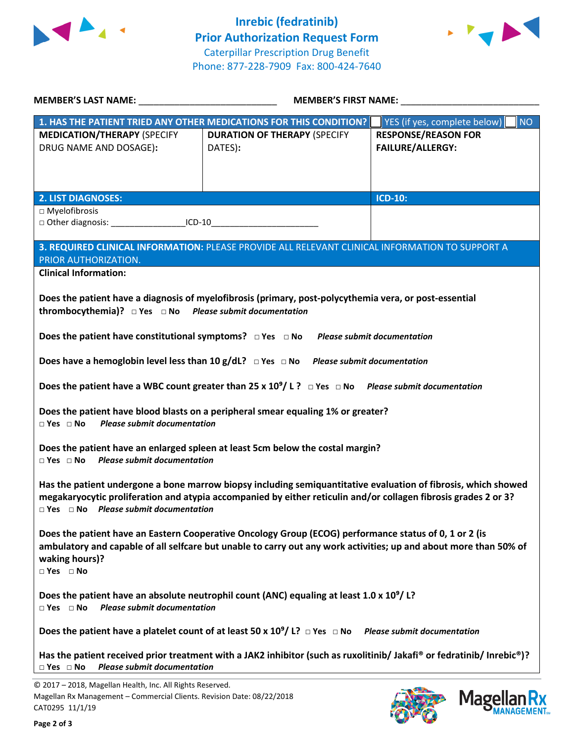



| <b>MEMBER'S LAST NAME:</b> NAME                                                                                                                                                                                                                                                                                                                                                                                                                                                                         | <b>MEMBER'S FIRST NAME:</b>                                        |                                                       |  |  |  |
|---------------------------------------------------------------------------------------------------------------------------------------------------------------------------------------------------------------------------------------------------------------------------------------------------------------------------------------------------------------------------------------------------------------------------------------------------------------------------------------------------------|--------------------------------------------------------------------|-------------------------------------------------------|--|--|--|
|                                                                                                                                                                                                                                                                                                                                                                                                                                                                                                         | 1. HAS THE PATIENT TRIED ANY OTHER MEDICATIONS FOR THIS CONDITION? | YES (if yes, complete below)<br><b>NO</b>             |  |  |  |
| <b>MEDICATION/THERAPY (SPECIFY</b><br>DRUG NAME AND DOSAGE):                                                                                                                                                                                                                                                                                                                                                                                                                                            | <b>DURATION OF THERAPY (SPECIFY</b><br>DATES):                     | <b>RESPONSE/REASON FOR</b><br><b>FAILURE/ALLERGY:</b> |  |  |  |
| <b>2. LIST DIAGNOSES:</b>                                                                                                                                                                                                                                                                                                                                                                                                                                                                               |                                                                    | <b>ICD-10:</b>                                        |  |  |  |
| $\Box$ Myelofibrosis<br>District Diagnosis: CD-10                                                                                                                                                                                                                                                                                                                                                                                                                                                       |                                                                    |                                                       |  |  |  |
| 3. REQUIRED CLINICAL INFORMATION: PLEASE PROVIDE ALL RELEVANT CLINICAL INFORMATION TO SUPPORT A<br>PRIOR AUTHORIZATION.<br><b>Clinical Information:</b>                                                                                                                                                                                                                                                                                                                                                 |                                                                    |                                                       |  |  |  |
| Does the patient have a diagnosis of myelofibrosis (primary, post-polycythemia vera, or post-essential<br>thrombocythemia)? $\Box$ Yes $\Box$ No Please submit documentation<br>Does the patient have constitutional symptoms? $\Box$ Yes $\Box$ No Please submit documentation<br>Does have a hemoglobin level less than 10 g/dL? $\Box$ Yes $\Box$ No Please submit documentation<br>Does the patient have a WBC count greater than 25 x $10^9/$ L ? $\Box$ Yes $\Box$ No Please submit documentation |                                                                    |                                                       |  |  |  |
| Does the patient have blood blasts on a peripheral smear equaling 1% or greater?<br>$\Box$ Yes $\Box$ No<br><b>Please submit documentation</b><br>Does the patient have an enlarged spleen at least 5cm below the costal margin?                                                                                                                                                                                                                                                                        |                                                                    |                                                       |  |  |  |
| $\Box$ Yes $\Box$ No Please submit documentation<br>Has the patient undergone a bone marrow biopsy including semiquantitative evaluation of fibrosis, which showed<br>megakaryocytic proliferation and atypia accompanied by either reticulin and/or collagen fibrosis grades 2 or 3?<br>$\Box$ Yes $\Box$ No Please submit documentation                                                                                                                                                               |                                                                    |                                                       |  |  |  |
| Does the patient have an Eastern Cooperative Oncology Group (ECOG) performance status of 0, 1 or 2 (is<br>ambulatory and capable of all selfcare but unable to carry out any work activities; up and about more than 50% of<br>waking hours)?<br>$\Box$ Yes $\Box$ No                                                                                                                                                                                                                                   |                                                                    |                                                       |  |  |  |
| Does the patient have an absolute neutrophil count (ANC) equaling at least 1.0 x $10^9/1$ ?<br><b>Please submit documentation</b><br>$\Box$ Yes $\Box$ No                                                                                                                                                                                                                                                                                                                                               |                                                                    |                                                       |  |  |  |
| Does the patient have a platelet count of at least 50 x $10^9/1$ ? $\Box$ Yes $\Box$ No Please submit documentation                                                                                                                                                                                                                                                                                                                                                                                     |                                                                    |                                                       |  |  |  |
| Has the patient received prior treatment with a JAK2 inhibitor (such as ruxolitinib/ Jakafi® or fedratinib/ Inrebic®)?<br><b>Please submit documentation</b><br>$\Box$ Yes $\Box$ No                                                                                                                                                                                                                                                                                                                    |                                                                    |                                                       |  |  |  |
| © 2017 - 2018, Magellan Health, Inc. All Rights Reserved.                                                                                                                                                                                                                                                                                                                                                                                                                                               |                                                                    |                                                       |  |  |  |

CAT0295 11/1/19

Magellan Rx Management – Commercial Clients. Revision Date: 08/22/2018



Magellan Rx